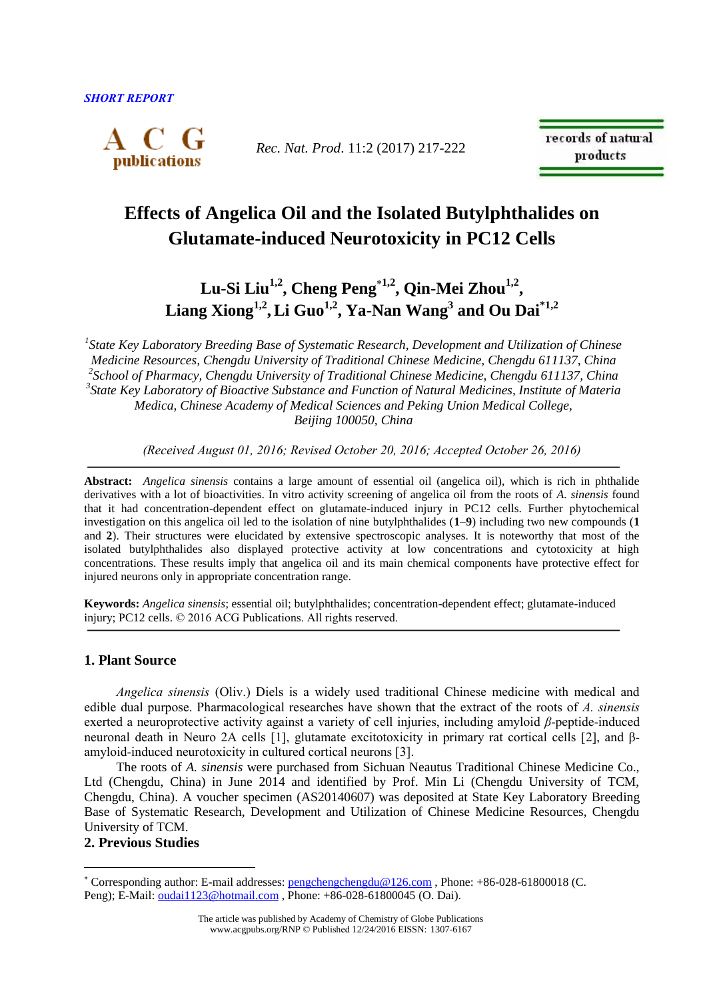

*Rec. Nat. Prod*. 11:2 (2017) 217-222

records of natural products

# **Effects of Angelica Oil and the Isolated Butylphthalides on Glutamate-induced Neurotoxicity in PC12 Cells**

**Lu-Si Liu1,2 , Cheng Peng1,2 , Qin-Mei Zhou1,2 , Liang Xiong1,2 ,Li Guo1,2 , Ya-Nan Wang<sup>3</sup> and Ou Dai\*1,2**

*1 State Key Laboratory Breeding Base of Systematic Research, Development and Utilization of Chinese Medicine Resources, Chengdu University of Traditional Chinese Medicine, Chengdu 611137, China 2 School of Pharmacy, Chengdu University of Traditional Chinese Medicine, Chengdu 611137, China 3 State Key Laboratory of Bioactive Substance and Function of Natural Medicines, Institute of Materia Medica, Chinese Academy of Medical Sciences and Peking Union Medical College, Beijing 100050, China*

*(Received August 01, 2016; Revised October 20, 2016; Accepted October 26, 2016)*

**Abstract:** *Angelica sinensis* contains a large amount of essential oil (angelica oil), which is rich in phthalide derivatives with a lot of bioactivities. In vitro activity screening of angelica oil from the roots of *A. sinensis* found that it had concentration-dependent effect on glutamate-induced injury in PC12 cells. Further phytochemical investigation on this angelica oil led to the isolation of nine butylphthalides (**1**–**9**) including two new compounds (**1** and **2**). Their structures were elucidated by extensive spectroscopic analyses. It is noteworthy that most of the isolated butylphthalides also displayed protective activity at low concentrations and cytotoxicity at high concentrations. These results imply that angelica oil and its main chemical components have protective effect for injured neurons only in appropriate concentration range.

**Keywords:** *Angelica sinensis*; essential oil; butylphthalides; concentration-dependent effect; glutamate-induced injury; PC12 cells. © 2016 ACG Publications. All rights reserved.

# **1. Plant Source**

*Angelica sinensis* (Oliv.) Diels is a widely used traditional Chinese medicine with medical and edible dual purpose. Pharmacological researches have shown that the extract of the roots of *A. sinensis* exerted a neuroprotective activity against a variety of cell injuries, including amyloid *β*-peptide-induced neuronal death in Neuro 2A cells [1], glutamate excitotoxicity in primary rat cortical cells [2], and βamyloid-induced neurotoxicity in cultured cortical neurons [3].

The roots of *A. sinensis* were purchased from Sichuan Neautus Traditional Chinese Medicine Co., Ltd (Chengdu, China) in June 2014 and identified by Prof. Min Li (Chengdu University of TCM, Chengdu, China). A voucher specimen (AS20140607) was deposited at State Key Laboratory Breeding Base of Systematic Research, Development and Utilization of Chinese Medicine Resources, Chengdu University of TCM.

# **2. Previous Studies**

 $\overline{a}$ 

Corresponding author: E-mail addresses[: pengchengchengdu@126.com](mailto:pengchengchengdu@126.com) , Phone: +86-028-61800018 (C. Peng); E-Mail: [oudai1123@hotmail.com](mailto:oudai1123@hotmail.com) , Phone: +86-028-61800045 (O. Dai).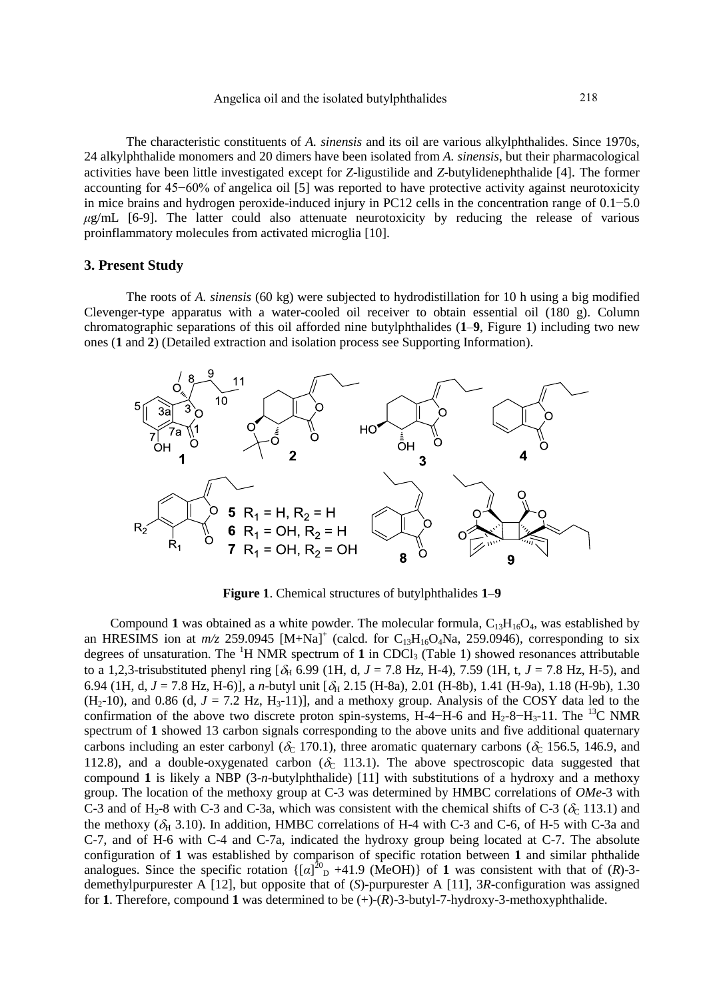The characteristic constituents of *A. sinensis* and its oil are various alkylphthalides. Since 1970s, 24 alkylphthalide monomers and 20 dimers have been isolated from *A. sinensis*, but their pharmacological activities have been little investigated except for *Z*-ligustilide and *Z*-butylidenephthalide [4]. The former accounting for 45−60% of angelica oil [5] was reported to have protective activity against neurotoxicity in mice brains and hydrogen peroxide-induced injury in PC12 cells in the concentration range of 0.1−5.0  $\mu$ g/mL [6-9]. The latter could also attenuate neurotoxicity by reducing the release of various proinflammatory molecules from activated microglia [10].

#### **3. Present Study**

The roots of *A. sinensis* (60 kg) were subjected to hydrodistillation for 10 h using a big modified Clevenger-type apparatus with a water-cooled oil receiver to obtain essential oil (180 g). Column chromatographic separations of this oil afforded nine butylphthalides (**1**–**9**, Figure 1) including two new ones (**1** and **2**) (Detailed extraction and isolation process see Supporting Information).



**Figure 1**. Chemical structures of butylphthalides **1**–**9**

Compound 1 was obtained as a white powder. The molecular formula,  $C_{13}H_{16}O_4$ , was established by an HRESIMS ion at  $m/z$  259.0945  $[M+Na]^+$  (calcd. for C<sub>13</sub>H<sub>16</sub>O<sub>4</sub>Na, 259.0946), corresponding to six degrees of unsaturation. The <sup>1</sup>H NMR spectrum of 1 in CDCl<sub>3</sub> (Table 1) showed resonances attributable to a 1,2,3-trisubstituted phenyl ring  $[\delta_H 6.99 (1H, d, J = 7.8 Hz, H-4), 7.59 (1H, t, J = 7.8 Hz, H-5),$  and 6.94 (1H, d,  $J = 7.8$  Hz, H-6)], a *n*-butyl unit  $[\delta_H 2.15$  (H-8a), 2.01 (H-8b), 1.41 (H-9a), 1.18 (H-9b), 1.30  $(H_2-10)$ , and 0.86 (d,  $J = 7.2$  Hz,  $H_3-11$ )], and a methoxy group. Analysis of the COSY data led to the confirmation of the above two discrete proton spin-systems, H-4−H-6 and H<sub>2</sub>-8−H<sub>3</sub>-11. The <sup>13</sup>C NMR spectrum of **1** showed 13 carbon signals corresponding to the above units and five additional quaternary carbons including an ester carbonyl ( $\delta_c$  170.1), three aromatic quaternary carbons ( $\delta_c$  156.5, 146.9, and 112.8), and a double-oxygenated carbon ( $\delta_0$ -113.1). The above spectroscopic data suggested that compound **1** is likely a NBP (3-*n*-butylphthalide) [11] with substitutions of a hydroxy and a methoxy group. The location of the methoxy group at C-3 was determined by HMBC correlations of *OMe*-3 with C-3 and of H<sub>2</sub>-8 with C-3 and C-3a, which was consistent with the chemical shifts of C-3 ( $\delta_c$  113.1) and the methoxy ( $\delta_H$  3.10). In addition, HMBC correlations of H-4 with C-3 and C-6, of H-5 with C-3a and C-7, and of H-6 with C-4 and C-7a, indicated the hydroxy group being located at C-7. The absolute configuration of **1** was established by comparison of specific rotation between **1** and similar phthalide analogues. Since the specific rotation  $\{[\alpha]^{\hat{20}}_D +41.9 \ (\text{MeOH})\}$  of 1 was consistent with that of  $(R)$ -3demethylpurpurester A [12], but opposite that of (*S*)-purpurester A [11], 3*R*-configuration was assigned for **1**. Therefore, compound **1** was determined to be (+)-(*R*)-3-butyl-7-hydroxy-3-methoxyphthalide.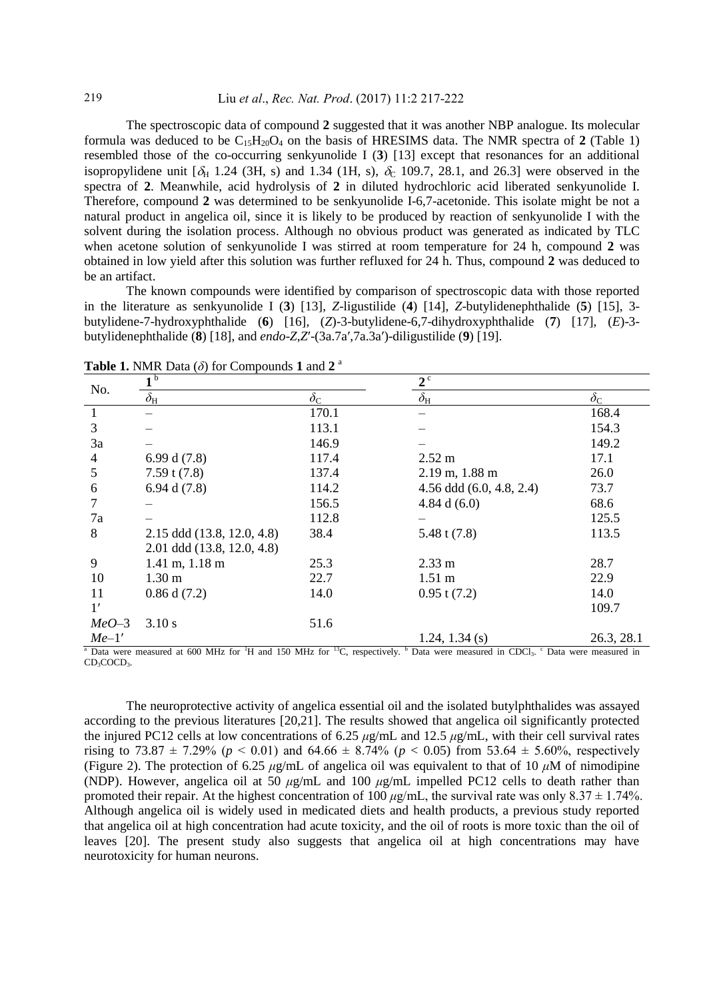The spectroscopic data of compound **2** suggested that it was another NBP analogue. Its molecular formula was deduced to be  $C_{15}H_{20}O_4$  on the basis of HRESIMS data. The NMR spectra of 2 (Table 1) resembled those of the co-occurring senkyunolide I (**3**) [13] except that resonances for an additional isopropylidene unit  $[\delta_H 1.24 (3H, s)$  and 1.34 (1H, s),  $\delta_C$  109.7, 28.1, and 26.3] were observed in the spectra of **2**. Meanwhile, acid hydrolysis of **2** in diluted hydrochloric acid liberated senkyunolide I. Therefore, compound **2** was determined to be senkyunolide I-6,7-acetonide. This isolate might be not a natural product in angelica oil, since it is likely to be produced by reaction of senkyunolide I with the solvent during the isolation process. Although no obvious product was generated as indicated by TLC when acetone solution of senkyunolide I was stirred at room temperature for 24 h, compound **2** was obtained in low yield after this solution was further refluxed for 24 h. Thus, compound **2** was deduced to be an artifact.

The known compounds were identified by comparison of spectroscopic data with those reported in the literature as senkyunolide I (**3**) [13], *Z*-ligustilide (**4**) [14], *Z*-butylidenephthalide (**5**) [15], 3 butylidene-7-hydroxyphthalide (**6**) [16], (*Z*)-3-butylidene-6,7-dihydroxyphthalide (**7**) [17], (*E*)-3 butylidenephthalide (**8**) [18], and *endo*-*Z*,*Z*′-(3a.7a′,7a.3a′)-diligustilide (**9**) [19].

| No.     | $\blacksquare$                   |                  | $2^{\circ}$                |                  |
|---------|----------------------------------|------------------|----------------------------|------------------|
|         | $\delta_{\rm H}$                 | $\delta_{\rm C}$ | $\delta_{\rm H}$           | $\delta_{\rm C}$ |
| 1       |                                  | 170.1            |                            | 168.4            |
| 3       |                                  | 113.1            |                            | 154.3            |
| 3a      |                                  | 146.9            |                            | 149.2            |
| 4       | 6.99 d $(7.8)$                   | 117.4            | $2.52 \text{ m}$           | 17.1             |
| 5       | $7.59$ t $(7.8)$                 | 137.4            | $2.19$ m, $1.88$ m         | 26.0             |
| 6       | 6.94 d $(7.8)$                   | 114.2            | 4.56 ddd $(6.0, 4.8, 2.4)$ | 73.7             |
|         |                                  | 156.5            | 4.84 d $(6.0)$             | 68.6             |
| 7a      |                                  | 112.8            |                            | 125.5            |
| 8       | 2.15 ddd (13.8, 12.0, 4.8)       | 38.4             | 5.48 t $(7.8)$             | 113.5            |
|         | 2.01 ddd (13.8, 12.0, 4.8)       |                  |                            |                  |
| 9       | $1.41 \text{ m}, 1.18 \text{ m}$ | 25.3             | $2.33 \text{ m}$           | 28.7             |
| 10      | 1.30 <sub>m</sub>                | 22.7             | $1.51 \text{ m}$           | 22.9             |
| 11      | $0.86$ d $(7.2)$                 | 14.0             | $0.95$ t $(7.2)$           | 14.0             |
| 1'      |                                  |                  |                            | 109.7            |
| $MeO-3$ | 3.10 s                           | 51.6             |                            |                  |
| $Me-1'$ |                                  |                  | 1.24, 1.34 $(s)$           | 26.3, 28.1       |

**Table 1.** NMR Data  $(\delta)$  for Compounds 1 and 2<sup>a</sup>

<sup>a</sup> Data were measured at 600 MHz for <sup>1</sup>H and 150 MHz for <sup>13</sup>C, respectively. <sup>b</sup> Data were measured in CDCl<sub>3</sub>. <sup>c</sup> Data were measured in CD<sub>3</sub>COCD<sub>3</sub>.

The neuroprotective activity of angelica essential oil and the isolated butylphthalides was assayed according to the previous literatures [20,21]. The results showed that angelica oil significantly protected the injured PC12 cells at low concentrations of 6.25 *μ*g/mL and 12.5 *μ*g/mL, with their cell survival rates rising to 73.87  $\pm$  7.29% ( $p < 0.01$ ) and 64.66  $\pm$  8.74% ( $p < 0.05$ ) from 53.64  $\pm$  5.60%, respectively (Figure 2). The protection of 6.25 *μ*g/mL of angelica oil was equivalent to that of 10 *μ*M of nimodipine (NDP). However, angelica oil at 50 *μ*g/mL and 100 *μ*g/mL impelled PC12 cells to death rather than promoted their repair. At the highest concentration of 100  $\mu$ g/mL, the survival rate was only 8.37  $\pm$  1.74%. Although angelica oil is widely used in medicated diets and health products, a previous study reported that angelica oil at high concentration had acute toxicity, and the oil of roots is more toxic than the oil of leaves [20]. The present study also suggests that angelica oil at high concentrations may have neurotoxicity for human neurons.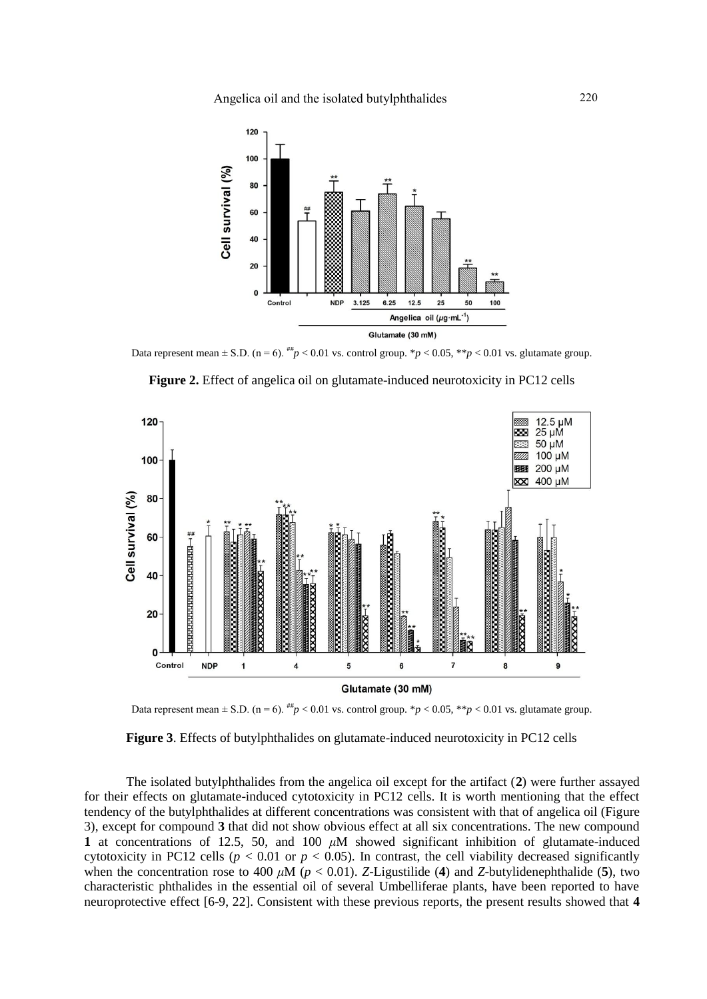

Data represent mean  $\pm$  S.D. (n = 6). <sup>##</sup>*p* < 0.01 vs. control group. \**p* < 0.05, \*\**p* < 0.01 vs. glutamate group.



**Figure 2.** Effect of angelica oil on glutamate-induced neurotoxicity in PC12 cells



**Figure 3**. Effects of butylphthalides on glutamate-induced neurotoxicity in PC12 cells

The isolated butylphthalides from the angelica oil except for the artifact (**2**) were further assayed for their effects on glutamate-induced cytotoxicity in PC12 cells. It is worth mentioning that the effect tendency of the butylphthalides at different concentrations was consistent with that of angelica oil (Figure 3), except for compound **3** that did not show obvious effect at all six concentrations. The new compound **1** at concentrations of 12.5, 50, and 100 *μ*M showed significant inhibition of glutamate-induced cytotoxicity in PC12 cells ( $p < 0.01$  or  $p < 0.05$ ). In contrast, the cell viability decreased significantly when the concentration rose to 400  $\mu$ M ( $p < 0.01$ ). *Z*-Ligustilide (4) and *Z*-butylidenephthalide (5), two characteristic phthalides in the essential oil of several Umbelliferae plants, have been reported to have neuroprotective effect [6-9, 22]. Consistent with these previous reports, the present results showed that **4**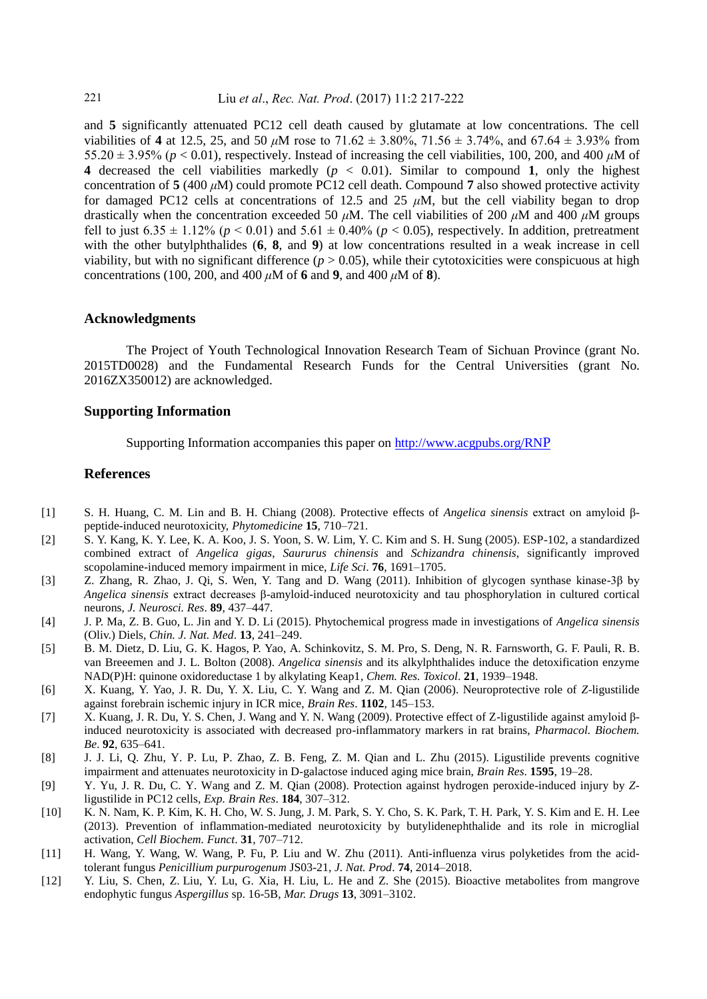and **5** significantly attenuated PC12 cell death caused by glutamate at low concentrations. The cell viabilities of **4** at 12.5, 25, and 50 *μ*M rose to 71.62 ± 3.80%, 71.56 ± 3.74%, and 67.64 ± 3.93% from 55.20  $\pm$  3.95% ( $p < 0.01$ ), respectively. Instead of increasing the cell viabilities, 100, 200, and 400  $\mu$ M of **4** decreased the cell viabilities markedly (*p* < 0.01). Similar to compound **1**, only the highest concentration of  $5(400 \mu M)$  could promote PC12 cell death. Compound 7 also showed protective activity for damaged PC12 cells at concentrations of 12.5 and 25  $\mu$ M, but the cell viability began to drop drastically when the concentration exceeded 50 *μ*M. The cell viabilities of 200 *μ*M and 400 *μ*M groups fell to just  $6.35 \pm 1.12\%$  ( $p < 0.01$ ) and  $5.61 \pm 0.40\%$  ( $p < 0.05$ ), respectively. In addition, pretreatment with the other butylphthalides (6, 8, and 9) at low concentrations resulted in a weak increase in cell viability, but with no significant difference  $(p > 0.05)$ , while their cytotoxicities were conspicuous at high concentrations (100, 200, and 400 *μ*M of **6** and **9**, and 400 *μ*M of **8**).

## **Acknowledgments**

The Project of Youth Technological Innovation Research Team of Sichuan Province (grant No. 2015TD0028) and the Fundamental Research Funds for the Central Universities (grant No. 2016ZX350012) are acknowledged.

# **Supporting Information**

Supporting Information accompanies this paper on [http://www.acgpubs.org/RN](http://www.acgpubs.org/RNP)P

### **References**

- [1] S. H. Huang, C. M. Lin and B. H. Chiang (2008). Protective effects of *Angelica sinensis* extract on amyloid βpeptide-induced neurotoxicity, *Phytomedicine* **15**, 710–721.
- [2] S. Y. Kang, K. Y. Lee, K. A. Koo, J. S. Yoon, S. W. Lim, Y. C. Kim and S. H. Sung (2005). ESP-102, a standardized combined extract of *Angelica gigas*, *Saururus chinensis* and *Schizandra chinensis*, significantly improved scopolamine-induced memory impairment in mice, *Life Sci*. **76**, 1691–1705.
- [3] Z. Zhang, R. Zhao, J. Qi, S. Wen, Y. Tang and D. Wang (2011). Inhibition of glycogen synthase kinase-3β by *Angelica sinensis* extract decreases β-amyloid-induced neurotoxicity and tau phosphorylation in cultured cortical neurons, *J. Neurosci. Res*. **89**, 437–447.
- [4] J. P. Ma, Z. B. Guo, L. Jin and Y. D. Li (2015). Phytochemical progress made in investigations of *Angelica sinensis* (Oliv.) Diels, *Chin. J. Nat. Med*. **13**, 241–249.
- [5] B. M. Dietz, D. Liu, G. K. Hagos, P. Yao, A. Schinkovitz, S. M. Pro, S. Deng, N. R. Farnsworth, G. F. Pauli, R. B. van Breeemen and J. L. Bolton (2008). *Angelica sinensis* and its alkylphthalides induce the detoxification enzyme NAD(P)H: quinone oxidoreductase 1 by alkylating Keap1, *Chem. Res. Toxicol*. **21**, 1939–1948.
- [6] X. Kuang, Y. Yao, J. R. Du, Y. X. Liu, C. Y. Wang and Z. M. Qian (2006). Neuroprotective role of *Z*-ligustilide against forebrain ischemic injury in ICR mice, *Brain Res*. **1102**, 145–153.
- [7] X. Kuang, J. R. Du, Y. S. Chen, J. Wang and Y. N. Wang (2009). Protective effect of Z-ligustilide against amyloid βinduced neurotoxicity is associated with decreased pro-inflammatory markers in rat brains, *Pharmacol. Biochem. Be*. **92**, 635–641.
- [8] J. J. Li, Q. Zhu, Y. P. Lu, P. Zhao, Z. B. Feng, Z. M. Qian and L. Zhu (2015). Ligustilide prevents cognitive impairment and attenuates neurotoxicity in D-galactose induced aging mice brain, *Brain Res*. **1595**, 19–28.
- [9] Y. Yu, J. R. Du, C. Y. Wang and Z. M. Qian (2008). Protection against hydrogen peroxide-induced injury by *Z*ligustilide in PC12 cells, *Exp. Brain Res*. **184**, 307–312.
- [10] K. N. Nam, K. P. Kim, K. H. Cho, W. S. Jung, J. M. Park, S. Y. Cho, S. K. Park, T. H. Park, Y. S. Kim and E. H. Lee (2013). Prevention of inflammation-mediated neurotoxicity by butylidenephthalide and its role in microglial activation, *Cell Biochem. Funct*. **31**, 707–712.
- [11] H. Wang, Y. Wang, W. Wang, P. Fu, P. Liu and W. Zhu (2011). Anti-influenza virus polyketides from the acidtolerant fungus *Penicillium purpurogenum* JS03-21, *J. Nat. Prod*. **74**, 2014–2018.
- [12] Y. Liu, S. Chen, Z. Liu, Y. Lu, G. Xia, H. Liu, L. He and Z. She (2015). Bioactive metabolites from mangrove endophytic fungus *Aspergillus* sp. 16-5B, *Mar. Drugs* **13**, 3091–3102.